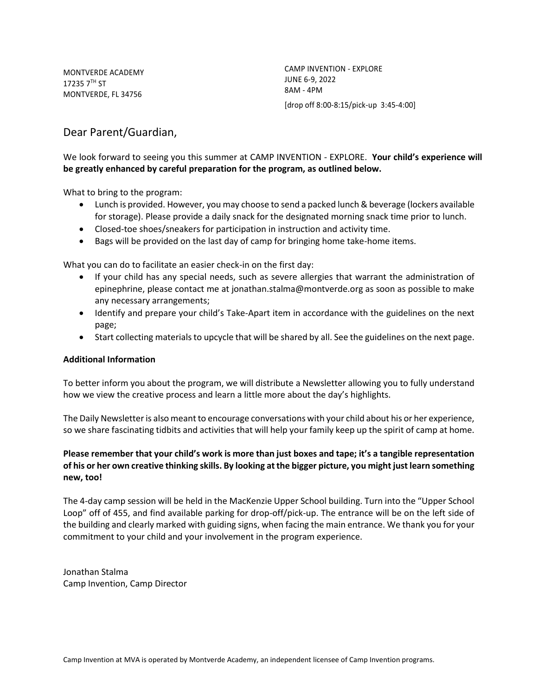MONTVERDE ACADEMY  $172357^{\text{TH}}$  ST MONTVERDE, FL 34756

CAMP INVENTION - EXPLORE JUNE 6-9, 2022 8AM - 4PM [drop off 8:00-8:15/pick-up 3:45-4:00]

# Dear Parent/Guardian,

## We look forward to seeing you this summer at CAMP INVENTION - EXPLORE. **Your child's experience will be greatly enhanced by careful preparation for the program, as outlined below.**

What to bring to the program:

- Lunch is provided. However, you may choose to send a packed lunch & beverage (lockers available for storage). Please provide a daily snack for the designated morning snack time prior to lunch.
- Closed-toe shoes/sneakers for participation in instruction and activity time.
- Bags will be provided on the last day of camp for bringing home take-home items.

What you can do to facilitate an easier check-in on the first day:

- If your child has any special needs, such as severe allergies that warrant the administration of epinephrine, please contact me at jonathan.stalma@montverde.org as soon as possible to make any necessary arrangements;
- Identify and prepare your child's Take-Apart item in accordance with the guidelines on the next page;
- Start collecting materials to upcycle that will be shared by all. See the guidelines on the next page.

### **Additional Information**

To better inform you about the program, we will distribute a Newsletter allowing you to fully understand how we view the creative process and learn a little more about the day's highlights.

The Daily Newsletter is also meant to encourage conversations with your child about his or her experience, so we share fascinating tidbits and activities that will help your family keep up the spirit of camp at home.

## **Please remember that your child's work is more than just boxes and tape; it's a tangible representation of his or her own creative thinking skills. By looking at the bigger picture, you might just learn something new, too!**

The 4-day camp session will be held in the MacKenzie Upper School building. Turn into the "Upper School Loop" off of 455, and find available parking for drop-off/pick-up. The entrance will be on the left side of the building and clearly marked with guiding signs, when facing the main entrance. We thank you for your commitment to your child and your involvement in the program experience.

Jonathan Stalma Camp Invention, Camp Director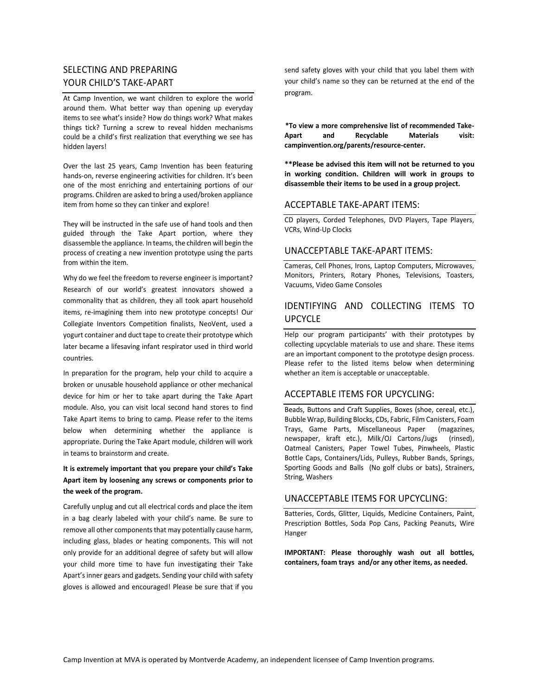## SELECTING AND PREPARING YOUR CHILD'S TAKE-APART

At Camp Invention, we want children to explore the world around them. What better way than opening up everyday items to see what's inside? How do things work? What makes things tick? Turning a screw to reveal hidden mechanisms could be a child's first realization that everything we see has hidden layers!

Over the last 25 years, Camp Invention has been featuring hands-on, reverse engineering activities for children. It's been one of the most enriching and entertaining portions of our programs. Children are asked to bring a used/broken appliance item from home so they can tinker and explore!

They will be instructed in the safe use of hand tools and then guided through the Take Apart portion, where they disassemble the appliance. In teams, the children will begin the process of creating a new invention prototype using the parts from within the item.

Why do we feel the freedom to reverse engineer is important? Research of our world's greatest innovators showed a commonality that as children, they all took apart household items, re-imagining them into new prototype concepts! Our Collegiate Inventors Competition finalists, NeoVent, used a yogurt container and duct tape to create their prototype which later became a lifesaving infant respirator used in third world countries.

In preparation for the program, help your child to acquire a broken or unusable household appliance or other mechanical device for him or her to take apart during the Take Apart module. Also, you can visit local second hand stores to find Take Apart items to bring to camp. Please refer to the items below when determining whether the appliance is appropriate. During the Take Apart module, children will work in teams to brainstorm and create.

### **It is extremely important that you prepare your child's Take Apart item by loosening any screws or components prior to the week of the program.**

Carefully unplug and cut all electrical cords and place the item in a bag clearly labeled with your child's name. Be sure to remove all other components that may potentially cause harm, including glass, blades or heating components. This will not only provide for an additional degree of safety but will allow your child more time to have fun investigating their Take Apart's inner gears and gadgets. Sending your child with safety gloves is allowed and encouraged! Please be sure that if you send safety gloves with your child that you label them with your child's name so they can be returned at the end of the program.

**\*To view a more comprehensive list of recommended Take-Apart and Recyclable Materials visit: campinvention.org/parents/resource-center.** 

**\*\*Please be advised this item will not be returned to you in working condition. Children will work in groups to disassemble their items to be used in a group project.**

#### ACCEPTABLE TAKE-APART ITEMS:

CD players, Corded Telephones, DVD Players, Tape Players, VCRs, Wind-Up Clocks

#### UNACCEPTABLE TAKE-APART ITEMS:

Cameras, Cell Phones, Irons, Laptop Computers, Microwaves, Monitors, Printers, Rotary Phones, Televisions, Toasters, Vacuums, Video Game Consoles

# IDENTIFYING AND COLLECTING ITEMS TO UPCYCLE

Help our program participants' with their prototypes by collecting upcyclable materials to use and share. These items are an important component to the prototype design process. Please refer to the listed items below when determining whether an item is acceptable or unacceptable.

### ACCEPTABLE ITEMS FOR UPCYCLING:

Beads, Buttons and Craft Supplies, Boxes (shoe, cereal, etc.), Bubble Wrap, Building Blocks, CDs, Fabric, Film Canisters, Foam Trays, Game Parts, Miscellaneous Paper (magazines, newspaper, kraft etc.), Milk/OJ Cartons/Jugs (rinsed), Oatmeal Canisters, Paper Towel Tubes, Pinwheels, Plastic Bottle Caps, Containers/Lids, Pulleys, Rubber Bands, Springs, Sporting Goods and Balls (No golf clubs or bats), Strainers, String, Washers

### UNACCEPTABLE ITEMS FOR UPCYCLING:

Batteries, Cords, Glitter, Liquids, Medicine Containers, Paint, Prescription Bottles, Soda Pop Cans, Packing Peanuts, Wire Hanger

**IMPORTANT: Please thoroughly wash out all bottles, containers, foam trays and/or any other items, as needed.**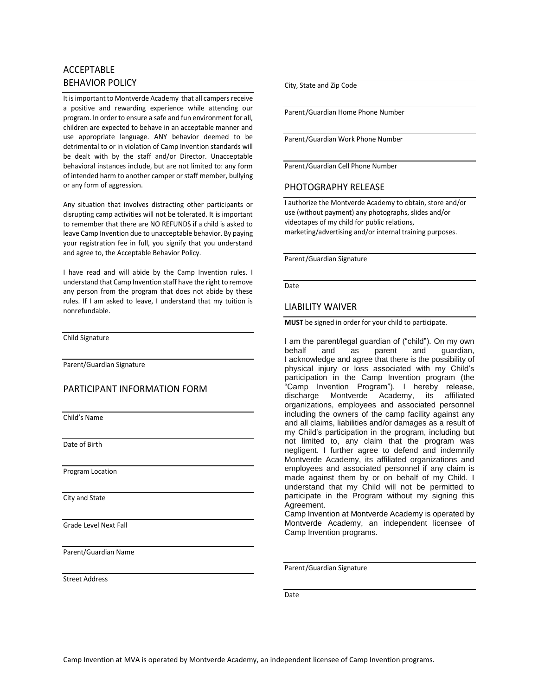## ACCEPTABLE BEHAVIOR POLICY

It is important to Montverde Academy that all campers receive a positive and rewarding experience while attending our program. In order to ensure a safe and fun environment for all, children are expected to behave in an acceptable manner and use appropriate language. ANY behavior deemed to be detrimental to or in violation of Camp Invention standards will be dealt with by the staff and/or Director. Unacceptable behavioral instances include, but are not limited to: any form of intended harm to another camper or staff member, bullying or any form of aggression.

Any situation that involves distracting other participants or disrupting camp activities will not be tolerated. It is important to remember that there are NO REFUNDS if a child is asked to leave Camp Invention due to unacceptable behavior. By paying your registration fee in full, you signify that you understand and agree to, the Acceptable Behavior Policy.

I have read and will abide by the Camp Invention rules. I understand that Camp Invention staff have the right to remove any person from the program that does not abide by these rules. If I am asked to leave, I understand that my tuition is nonrefundable.

Child Signature

Parent/Guardian Signature

### PARTICIPANT INFORMATION FORM

Child's Name

Date of Birth

Program Location

City and State

Grade Level Next Fall

Parent/Guardian Name

Street Address

City, State and Zip Code

Parent/Guardian Home Phone Number

Parent/Guardian Work Phone Number

Parent/Guardian Cell Phone Number

#### PHOTOGRAPHY RELEASE

I authorize the Montverde Academy to obtain, store and/or use (without payment) any photographs, slides and/or videotapes of my child for public relations, marketing/advertising and/or internal training purposes.

Parent/Guardian Signature

Date

#### LIABILITY WAIVER

**MUST** be signed in order for your child to participate.

I am the parent/legal guardian of ("child"). On my own behalf and as parent and guardian, I acknowledge and agree that there is the possibility of physical injury or loss associated with my Child's participation in the Camp Invention program (the "Camp Invention Program"). I hereby release, discharge Montverde Academy, its affiliated organizations, employees and associated personnel including the owners of the camp facility against any and all claims, liabilities and/or damages as a result of my Child's participation in the program, including but not limited to, any claim that the program was negligent. I further agree to defend and indemnify Montverde Academy, its affiliated organizations and employees and associated personnel if any claim is made against them by or on behalf of my Child. I understand that my Child will not be permitted to participate in the Program without my signing this Agreement.

Camp Invention at Montverde Academy is operated by Montverde Academy, an independent licensee of Camp Invention programs.

Parent/Guardian Signature

Date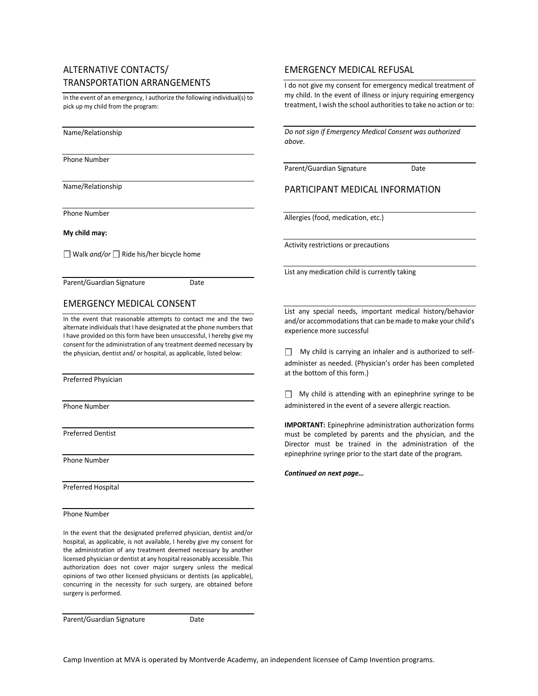## ALTERNATIVE CONTACTS/ TRANSPORTATION ARRANGEMENTS

In the event of an emergency, I authorize the following individual(s) to pick up my child from the program:

Name/Relationship

Phone Number

Name/Relationship

Phone Number

**My child may:**

☐ Walk *and/or* ☐ Ride his/her bicycle home

Parent/Guardian Signature Date

### EMERGENCY MEDICAL CONSENT

In the event that reasonable attempts to contact me and the two alternate individuals that I have designated at the phone numbers that I have provided on this form have been unsuccessful, I hereby give my consent for the administration of any treatment deemed necessary by the physician, dentist and/ or hospital, as applicable, listed below:

Preferred Physician

Phone Number

Preferred Dentist

Phone Number

Preferred Hospital

Phone Number

In the event that the designated preferred physician, dentist and/or hospital, as applicable, is not available, I hereby give my consent for the administration of any treatment deemed necessary by another licensed physician or dentist at any hospital reasonably accessible. This authorization does not cover major surgery unless the medical opinions of two other licensed physicians or dentists (as applicable), concurring in the necessity for such surgery, are obtained before surgery is performed.

Parent/Guardian Signature **Date** 

### EMERGENCY MEDICAL REFUSAL

I do not give my consent for emergency medical treatment of my child. In the event of illness or injury requiring emergency treatment, I wish the school authorities to take no action or to:

*Do not sign if Emergency Medical Consent was authorized above.*

Parent/Guardian Signature Date

PARTICIPANT MEDICAL INFORMATION

Allergies (food, medication, etc.)

Activity restrictions or precautions

List any medication child is currently taking

List any special needs, important medical history/behavior and/or accommodations that can be made to make your child's experience more successful

□ My child is carrying an inhaler and is authorized to selfadminister as needed. (Physician's order has been completed at the bottom of this form.)

 $\Box$  My child is attending with an epinephrine syringe to be administered in the event of a severe allergic reaction.

**IMPORTANT:** Epinephrine administration authorization forms must be completed by parents and the physician, and the Director must be trained in the administration of the epinephrine syringe prior to the start date of the program.

*Continued on next page…*